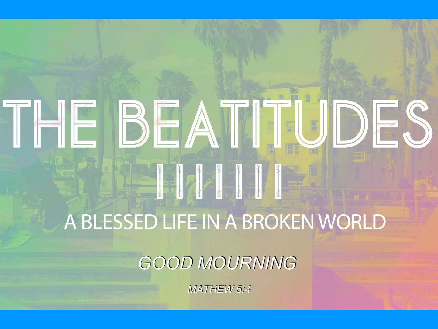## THE BEATITUDES A BLESSED LIFE IN A BROKEN WORLD *GOOD MOURNING*

*MATHEW 5:4*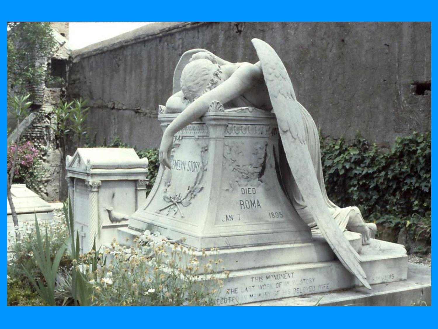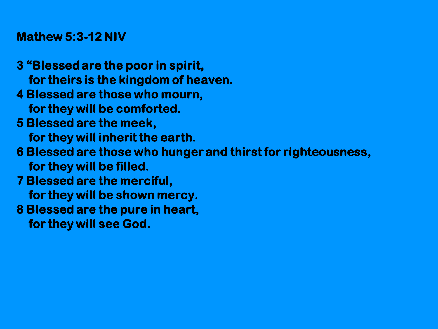## **Mathew 5:3-12 NIV**

**3 "Blessed are the poor in spirit, for theirs is the kingdom of heaven. 4 Blessed are those who mourn, for they will be comforted. 5 Blessed are the meek, for they will inherit the earth. 6 Blessed are those who hunger and thirst for righteousness, for they will be filled. 7 Blessed are the merciful, for they will be shown mercy. 8 Blessed are the pure in heart, for they will see God.**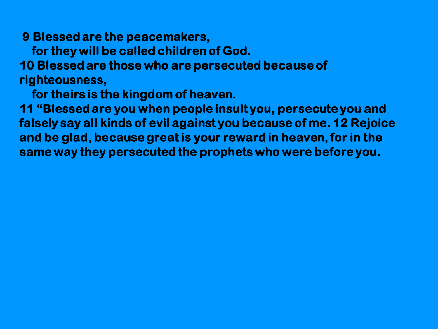**9 Blessed are the peacemakers,**

**for they will be called children of God.**

**10 Blessed are those who are persecuted because of righteousness,**

**for theirs is the kingdom of heaven.**

**11 "Blessed are you when people insult you, persecute you and falsely say all kinds of evil against you because of me. 12 Rejoice and be glad, because great is your reward in heaven, for in the same way they persecuted the prophets who were before you.**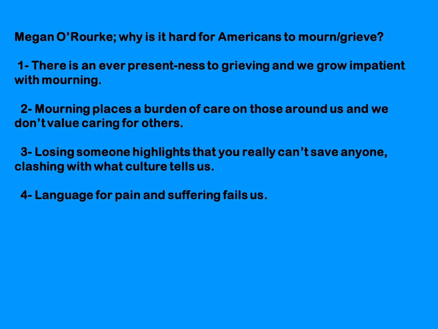**Megan O'Rourke; why is it hard for Americans to mourn/grieve?**

**1- There is an ever present-ness to grieving and we grow impatient with mourning.**

**2- Mourning places a burden of care on those around us and we don't value caring for others.**

**3- Losing someone highlights that you really can't save anyone, clashing with what culture tells us.**

**4- Language for pain and suffering fails us.**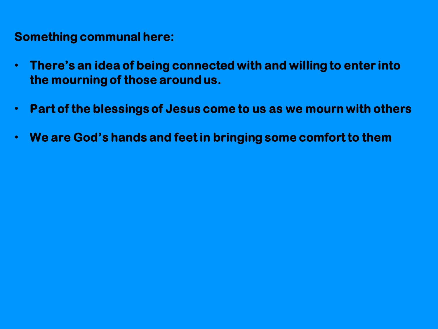**Something communal here:**

- **There's an idea of being connected with and willing to enter into the mourning of those around us.**
- **Part of the blessings of Jesus come to us as we mourn with others**
- **We are God's hands and feet in bringing some comfort to them**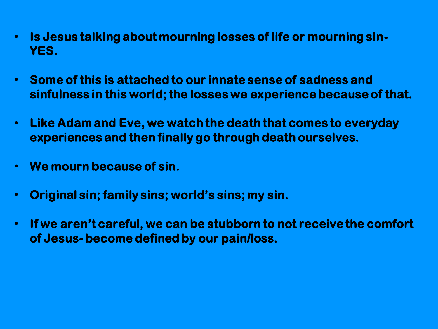- **Is Jesus talking about mourning losses of life or mourning sin-YES.**
- **Some of this is attached to our innate sense of sadness and sinfulness in this world; the losses we experience because of that.**
- **Like Adam and Eve, we watch the death that comes to everyday experiences and then finally go through death ourselves.**
- **We mourn because of sin.**
- **Original sin; family sins; world's sins; my sin.**
- **If we aren't careful, we can be stubborn to not receive the comfort of Jesus- become defined by our pain/loss.**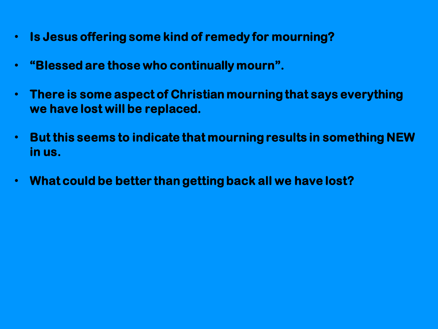- **Is Jesus offering some kind of remedy for mourning?**
- **"Blessed are those who continually mourn" .**
- **There is some aspect of Christian mourning that says everything we have lost will be replaced.**
- **But this seems to indicate that mourning results in something NEW in us.**
- **What could be better than getting back all we have lost?**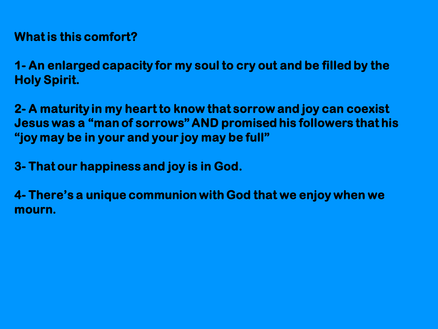## **What is this comfort?**

**1- An enlarged capacity for my soul to cry out and be filled by the Holy Spirit.**

**2- A maturity in my heart to know that sorrow and joy can coexist Jesus was a "man of sorrows" AND promised his followers that his "joy may be in your and your joy may be full"**

**3- That our happiness and joy is in God.**

**4- There's a unique communion with God that we enjoy when we mourn.**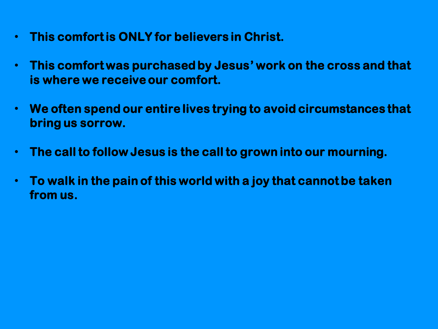- **This comfort is ONLY for believers in Christ.**
- **This comfort was purchased by Jesus' work on the cross and that is where we receive our comfort.**
- **We often spend our entire lives trying to avoid circumstances that bring us sorrow.**
- **The call to follow Jesus is the call to grown into our mourning.**
- **To walk in the pain of this world with a joy that cannot be taken from us.**